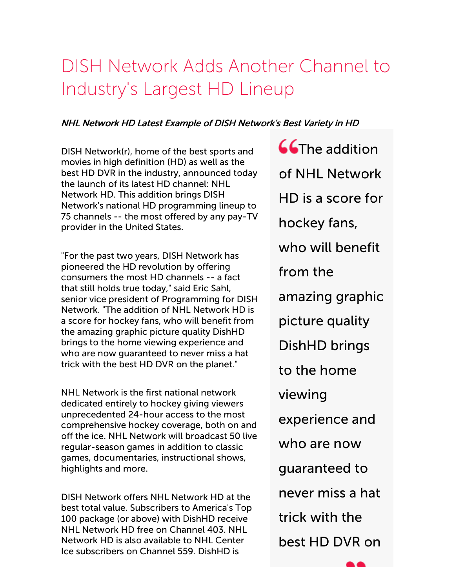# DISH Network Adds Another Channel to Industry's Largest HD Lineup

### NHL Network HD Latest Example of DISH Network's Best Variety in HD

DISH Network(r), home of the best sports and movies in high definition (HD) as well as the best HD DVR in the industry, announced today the launch of its latest HD channel: NHL Network HD. This addition brings DISH Network's national HD programming lineup to 75 channels -- the most offered by any pay-TV provider in the United States.

"For the past two years, DISH Network has pioneered the HD revolution by offering consumers the most HD channels -- a fact that still holds true today," said Eric Sahl, senior vice president of Programming for DISH Network. "The addition of NHL Network HD is a score for hockey fans, who will benefit from the amazing graphic picture quality DishHD brings to the home viewing experience and who are now guaranteed to never miss a hat trick with the best HD DVR on the planet."

NHL Network is the first national network dedicated entirely to hockey giving viewers unprecedented 24-hour access to the most comprehensive hockey coverage, both on and off the ice. NHL Network will broadcast 50 live regular-season games in addition to classic games, documentaries, instructional shows, highlights and more.

DISH Network offers NHL Network HD at the best total value. Subscribers to America's Top 100 package (or above) with DishHD receive NHL Network HD free on Channel 403. NHL Network HD is also available to NHL Center Ice subscribers on Channel 559. DishHD is

**CCThe addition** of NHL Network HD is a score for hockey fans, who will benefit from the amazing graphic picture quality DishHD brings to the home viewing experience and who are now guaranteed to never miss a hat trick with the best HD DVR on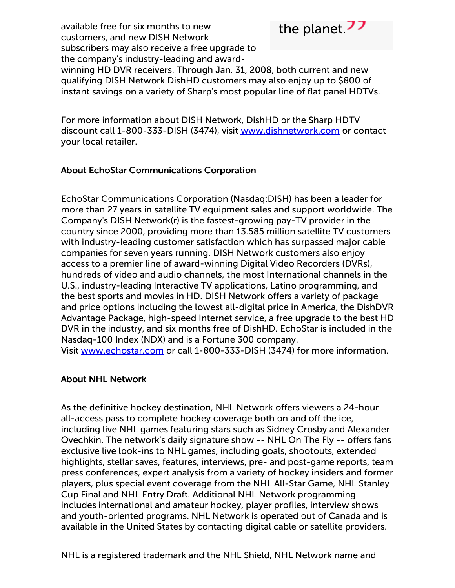available free for six months to new customers, and new DISH Network subscribers may also receive a free upgrade to the company's industry-leading and award-



winning HD DVR receivers. Through Jan. 31, 2008, both current and new qualifying DISH Network DishHD customers may also enjoy up to \$800 of instant savings on a variety of Sharp's most popular line of flat panel HDTVs.

For more information about DISH Network, DishHD or the Sharp HDTV discount call 1-800-333-DISH (3474), visit [www.dishnetwork.com](http://cts.businesswire.com/ct/CT?id=smartlink&url=http%3A%2F%2Fwww.dishnetwork.com%2F&esheet=50415953&lan=en-US&anchor=www.dishnetwork.com&index=1&md5=b2f9f3cbd7edbd419365c5576d4dab31) or contact your local retailer.

## About EchoStar Communications Corporation

EchoStar Communications Corporation (Nasdaq:DISH) has been a leader for more than 27 years in satellite TV equipment sales and support worldwide. The Company's DISH Network(r) is the fastest-growing pay-TV provider in the country since 2000, providing more than 13.585 million satellite TV customers with industry-leading customer satisfaction which has surpassed major cable companies for seven years running. DISH Network customers also enjoy access to a premier line of award-winning Digital Video Recorders (DVRs), hundreds of video and audio channels, the most International channels in the U.S., industry-leading Interactive TV applications, Latino programming, and the best sports and movies in HD. DISH Network offers a variety of package and price options including the lowest all-digital price in America, the DishDVR Advantage Package, high-speed Internet service, a free upgrade to the best HD DVR in the industry, and six months free of DishHD. EchoStar is included in the Nasdaq-100 Index (NDX) and is a Fortune 300 company. Visit [www.echostar.com](http://cts.businesswire.com/ct/CT?id=smartlink&url=http%3A%2F%2Fwww.echostar.com%2F&esheet=50415953&lan=en-US&anchor=www.echostar.com&index=2&md5=1f2e1bac57666ffe685106a5e35372b3) or call 1-800-333-DISH (3474) for more information.

### About NHL Network

As the definitive hockey destination, NHL Network offers viewers a 24-hour all-access pass to complete hockey coverage both on and off the ice, including live NHL games featuring stars such as Sidney Crosby and Alexander Ovechkin. The network's daily signature show -- NHL On The Fly -- offers fans exclusive live look-ins to NHL games, including goals, shootouts, extended highlights, stellar saves, features, interviews, pre- and post-game reports, team press conferences, expert analysis from a variety of hockey insiders and former players, plus special event coverage from the NHL All-Star Game, NHL Stanley Cup Final and NHL Entry Draft. Additional NHL Network programming includes international and amateur hockey, player profiles, interview shows and youth-oriented programs. NHL Network is operated out of Canada and is available in the United States by contacting digital cable or satellite providers.